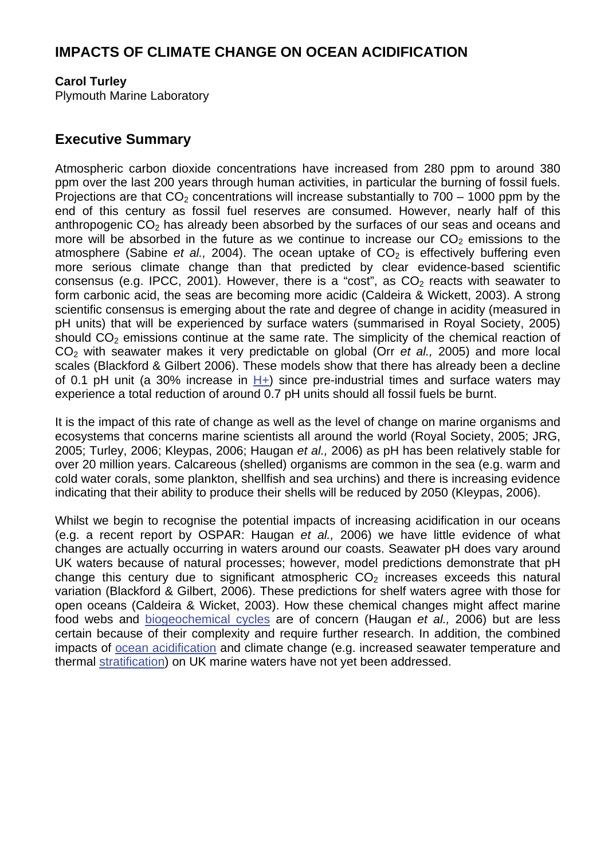## **IMPACTS OF CLIMATE CHANGE ON OCEAN ACIDIFICATION**

#### **Carol Turley**

Plymouth Marine Laboratory

### **Executive Summary**

Atmospheric carbon dioxide concentrations have increased from 280 ppm to around 380 ppm over the last 200 years through human activities, in particular the burning of fossil fuels. Projections are that  $CO<sub>2</sub>$  concentrations will increase substantially to  $700 - 1000$  ppm by the end of this century as fossil fuel reserves are consumed. However, nearly half of this anthropogenic  $CO<sub>2</sub>$  has already been absorbed by the surfaces of our seas and oceans and more will be absorbed in the future as we continue to increase our  $CO<sub>2</sub>$  emissions to the atmosphere (Sabine *et al.,* 2004). The ocean uptake of  $CO<sub>2</sub>$  is effectively buffering even more serious climate change than that predicted by clear evidence-based scientific consensus (e.g. IPCC, 2001). However, there is a "cost", as  $CO<sub>2</sub>$  reacts with seawater to form carbonic acid, the seas are becoming more acidic (Caldeira & Wickett, 2003). A strong scientific consensus is emerging about the rate and degree of change in acidity (measured in pH units) that will be experienced by surface waters (summarised in Royal Society, 2005) should  $CO<sub>2</sub>$  emissions continue at the same rate. The simplicity of the chemical reaction of CO2 with seawater makes it very predictable on global (Orr *et al.,* 2005) and more local scales (Blackford & Gilbert 2006). These models show that there has already been a decline of 0.1 pH unit (a 30% increase in  $H+$ ) since pre-industrial times and surface waters may experience a total reduction of around 0.7 pH units should all fossil fuels be burnt.

It is the impact of this rate of change as well as the level of change on marine organisms and ecosystems that concerns marine scientists all around the world (Royal Society, 2005; JRG, 2005; Turley, 2006; Kleypas, 2006; Haugan *et al.,* 2006) as pH has been relatively stable for over 20 million years. Calcareous (shelled) organisms are common in the sea (e.g. warm and cold water corals, some plankton, shellfish and sea urchins) and there is increasing evidence indicating that their ability to produce their shells will be reduced by 2050 (Kleypas, 2006).

Whilst we begin to recognise the potential impacts of increasing acidification in our oceans (e.g. a recent report by OSPAR: Haugan *et al.,* 2006) we have little evidence of what changes are actually occurring in waters around our coasts. Seawater pH does vary around UK waters because of natural processes; however, model predictions demonstrate that pH change this century due to significant atmospheric  $CO<sub>2</sub>$  increases exceeds this natural variation (Blackford & Gilbert, 2006). These predictions for shelf waters agree with those for open oceans (Caldeira & Wicket, 2003). How these chemical changes might affect marine food webs and [biogeochemical cycles](http://www.mccip.org.uk/arc/glossary.htm) are of concern (Haugan *et al.,* 2006) but are less certain because of their complexity and require further research. In addition, the combined impacts of [ocean acidification](http://www.mccip.org.uk/arc/glossary.htm) and climate change (e.g. increased seawater temperature and thermal [stratification\)](http://www.mccip.org.uk/arc/glossary.htm) on UK marine waters have not yet been addressed.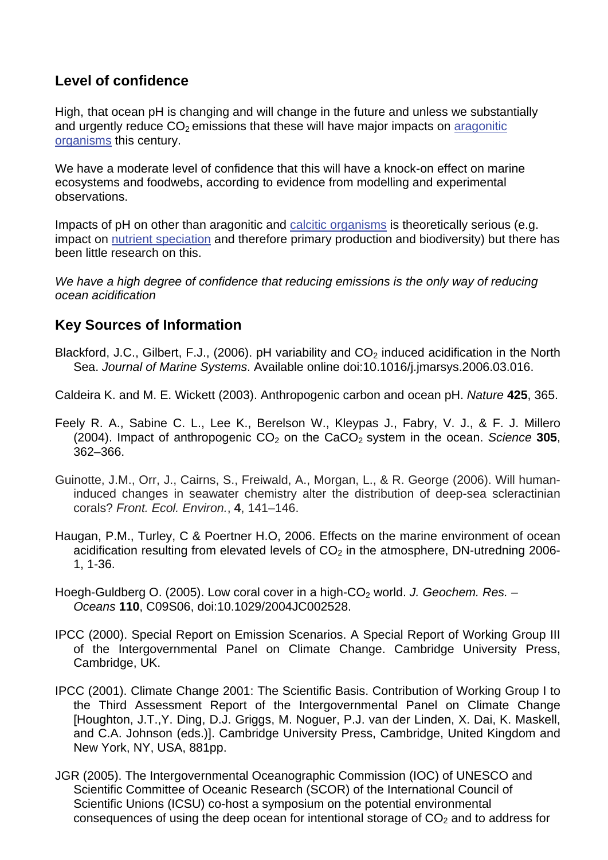# **Level of confidence**

High, that ocean pH is changing and will change in the future and unless we substantially and urgently reduce  $CO<sub>2</sub>$  emissions that these will have major impacts on aragonitic [organisms t](http://www.mccip.org.uk/arc/glossary.htm)his century.

We have a moderate level of confidence that this will have a knock-on effect on marine ecosystems and foodwebs, according to evidence from modelling and experimental observations.

Impacts of pH on other than aragonitic an[d calcitic organisms i](http://www.mccip.org.uk/arc/glossary.htm)s theoretically serious (e.g. impact o[n nutrient speciation a](http://www.mccip.org.uk/arc/glossary.htm)nd therefore primary production and biodiversity) but there has been little research on this.

We have a high degree of confidence that reducing emissions is the only way of reducing *ocean acidification* 

# **Key Sources of Information**

Blackford, J.C., Gilbert, F.J., (2006). pH variability and CO<sub>2</sub> induced acidification in the North Sea. *Journal of Marine Systems*. Available online doi:10.1016/j.jmarsys.2006.03.016.

Caldeira K. and M. E. Wickett (2003). Anthropogenic carbon and ocean pH. *Nature* **425**, 365.

- Feely R. A., Sabine C. L., Lee K., Berelson W., Kleypas J., Fabry, V. J., & F. J. Millero (2004). Impact of anthropogenic  $CO<sub>2</sub>$  on the  $CaCO<sub>2</sub>$  system in the ocean. *Science* 305, 362–366.
- Guinotte, J.M., Orr, J., Cairns, S., Freiwald, A., Morgan, L., & R. George (2006). Will humaninduced changes in seawater chemistry alter the distribution of deep-sea scleractinian corals? *Front. Ecol. Environ.*, **4**, 141–146.
- Haugan, P.M., Turley, C & Poertner H.O, 2006. Effects on the marine environment of ocean acidification resulting from elevated levels of  $CO<sub>2</sub>$  in the atmosphere, DN-utredning 2006-1, 1-36.
- Hoegh-Guldberg O. (2005). Low coral cover in a high-CO<sub>2</sub> world. *J. Geochem. Res. Oceans* **110**, C09S06, doi:10.1029/2004JC002528.
- IPCC (2000). Special Report on Emission Scenarios. A Special Report of Working Group III of the Intergovernmental Panel on Climate Change. Cambridge University Press, Cambridge, UK.
- IPCC (2001). Climate Change 2001: The Scientific Basis. Contribution of Working Group I to the Third Assessment Report of the Intergovernmental Panel on Climate Change [Houghton, J.T.,Y. Ding, D.J. Griggs, M. Noguer, P.J. van der Linden, X. Dai, K. Maskell, and C.A. Johnson (eds.)]. Cambridge University Press, Cambridge, United Kingdom and New York, NY, USA, 881pp.
- JGR (2005). The Intergovernmental Oceanographic Commission (IOC) of UNESCO and Scientific Committee of Oceanic Research (SCOR) of the International Council of Scientific Unions (ICSU) co-host a symposium on the potential environmental consequences of using the deep ocean for intentional storage of  $CO<sub>2</sub>$  and to address for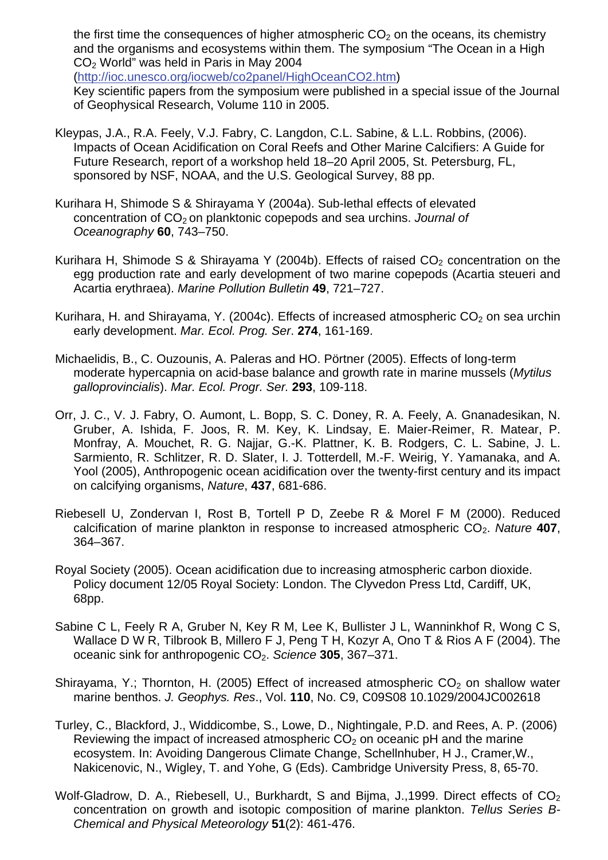the first time the consequences of higher atmospheric  $CO<sub>2</sub>$  on the oceans, its chemistry and the organisms and ecosystems within them. The symposium "The Ocean in a High CO2 World" was held in Paris in May 2004

(<http://ioc.unesco.org/iocweb/co2panel/HighOceanCO2.htm>)

Key scientific papers from the symposium were published in a special issue of the Journal of Geophysical Research, Volume 110 in 2005.

- Kleypas, J.A., R.A. Feely, V.J. Fabry, C. Langdon, C.L. Sabine, & L.L. Robbins, (2006). Impacts of Ocean Acidification on Coral Reefs and Other Marine Calcifiers: A Guide for Future Research, report of a workshop held 18–20 April 2005, St. Petersburg, FL, sponsored by NSF, NOAA, and the U.S. Geological Survey, 88 pp.
- Kurihara H, Shimode S & Shirayama Y (2004a). Sub-lethal effects of elevated concentration of CO<sub>2</sub> on planktonic copepods and sea urchins. *Journal of Oceanography* **60**, 743–750.
- Kurihara H, Shimode S & Shirayama Y (2004b). Effects of raised  $CO<sub>2</sub>$  concentration on the egg production rate and early development of two marine copepods (Acartia steueri and Acartia erythraea). *Marine Pollution Bulletin* **49**, 721–727.
- Kurihara, H. and Shirayama, Y. (2004c). Effects of increased atmospheric  $CO<sub>2</sub>$  on sea urchin early development. *Mar. Ecol. Prog. Ser*. **274**, 161-169.
- Michaelidis, B., C. Ouzounis, A. Paleras and HO. Pörtner (2005). Effects of long-term moderate hypercapnia on acid-base balance and growth rate in marine mussels (*Mytilus galloprovincialis*). *Mar. Ecol. Progr. Ser.* **293**, 109-118.
- Orr, J. C., V. J. Fabry, O. Aumont, L. Bopp, S. C. Doney, R. A. Feely, A. Gnanadesikan, N. Gruber, A. Ishida, F. Joos, R. M. Key, K. Lindsay, E. Maier-Reimer, R. Matear, P. Monfray, A. Mouchet, R. G. Najjar, G.-K. Plattner, K. B. Rodgers, C. L. Sabine, J. L. Sarmiento, R. Schlitzer, R. D. Slater, I. J. Totterdell, M.-F. Weirig, Y. Yamanaka, and A. Yool (2005), Anthropogenic ocean acidification over the twenty-first century and its impact on calcifying organisms, *Nature*, **437**, 681-686.
- Riebesell U, Zondervan I, Rost B, Tortell P D, Zeebe R & Morel F M (2000). Reduced calcification of marine plankton in response to increased atmospheric CO2. *Nature* **407**, 364–367.
- Royal Society (2005). Ocean acidification due to increasing atmospheric carbon dioxide. Policy document 12/05 Royal Society: London. The Clyvedon Press Ltd, Cardiff, UK, 68pp.
- Sabine C L, Feely R A, Gruber N, Key R M, Lee K, Bullister J L, Wanninkhof R, Wong C S, Wallace D W R, Tilbrook B, Millero F J, Peng T H, Kozyr A, Ono T & Rios A F (2004). The oceanic sink for anthropogenic CO2. *Science* **305**, 367–371.
- Shirayama, Y.; Thornton, H. (2005) Effect of increased atmospheric  $CO<sub>2</sub>$  on shallow water marine benthos. *J. Geophys. Res*., Vol. **110**, No. C9, C09S08 10.1029/2004JC002618
- Turley, C., Blackford, J., Widdicombe, S., Lowe, D., Nightingale, P.D. and Rees, A. P. (2006) Reviewing the impact of increased atmospheric  $CO<sub>2</sub>$  on oceanic pH and the marine ecosystem . In: Avoiding Dangerous Climate Change, Schellnhuber, H J., Cramer,W., Nakicenovic, N., Wigley, T. and Yohe, G (Eds). Cambridge University Press, 8, 65-70.
- Wolf-Gladrow, D. A., Riebesell, U., Burkhardt, S and Bijma, J.,1999. Direct effects of CO<sub>2</sub> concentration on growth and isotopic composition of marine plankton. *Tellus Series B-Chemical and Physical Meteorology* **51**(2): 461-476.